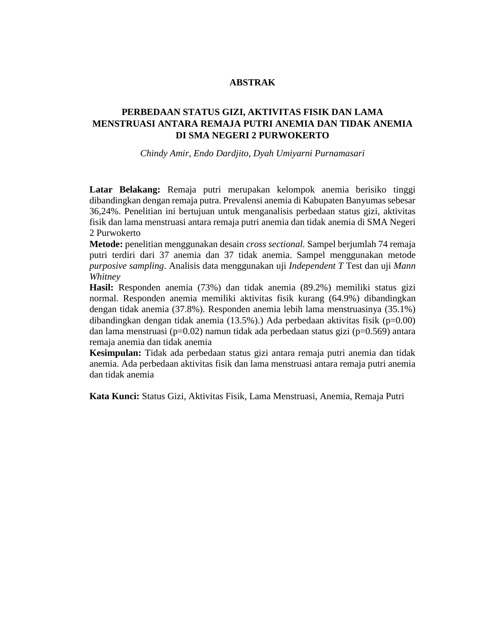## **ABSTRAK**

## **PERBEDAAN STATUS GIZI, AKTIVITAS FISIK DAN LAMA MENSTRUASI ANTARA REMAJA PUTRI ANEMIA DAN TIDAK ANEMIA DI SMA NEGERI 2 PURWOKERTO**

*Chindy Amir, Endo Dardjito, Dyah Umiyarni Purnamasari*

**Latar Belakang:** Remaja putri merupakan kelompok anemia berisiko tinggi dibandingkan dengan remaja putra. Prevalensi anemia di Kabupaten Banyumas sebesar 36,24%. Penelitian ini bertujuan untuk menganalisis perbedaan status gizi, aktivitas fisik dan lama menstruasi antara remaja putri anemia dan tidak anemia di SMA Negeri 2 Purwokerto

**Metode:** penelitian menggunakan desain *cross sectional.* Sampel berjumlah 74 remaja putri terdiri dari 37 anemia dan 37 tidak anemia. Sampel menggunakan metode *purposive sampling*. Analisis data menggunakan uji *Independent T* Test dan uji *Mann Whitney*

**Hasil:** Responden anemia (73%) dan tidak anemia (89.2%) memiliki status gizi normal. Responden anemia memiliki aktivitas fisik kurang (64.9%) dibandingkan dengan tidak anemia (37.8%). Responden anemia lebih lama menstruasinya (35.1%) dibandingkan dengan tidak anemia (13.5%).) Ada perbedaan aktivitas fisik (p=0.00) dan lama menstruasi (p=0.02) namun tidak ada perbedaan status gizi (p=0.569) antara remaja anemia dan tidak anemia

**Kesimpulan:** Tidak ada perbedaan status gizi antara remaja putri anemia dan tidak anemia. Ada perbedaan aktivitas fisik dan lama menstruasi antara remaja putri anemia dan tidak anemia

**Kata Kunci:** Status Gizi, Aktivitas Fisik, Lama Menstruasi, Anemia, Remaja Putri